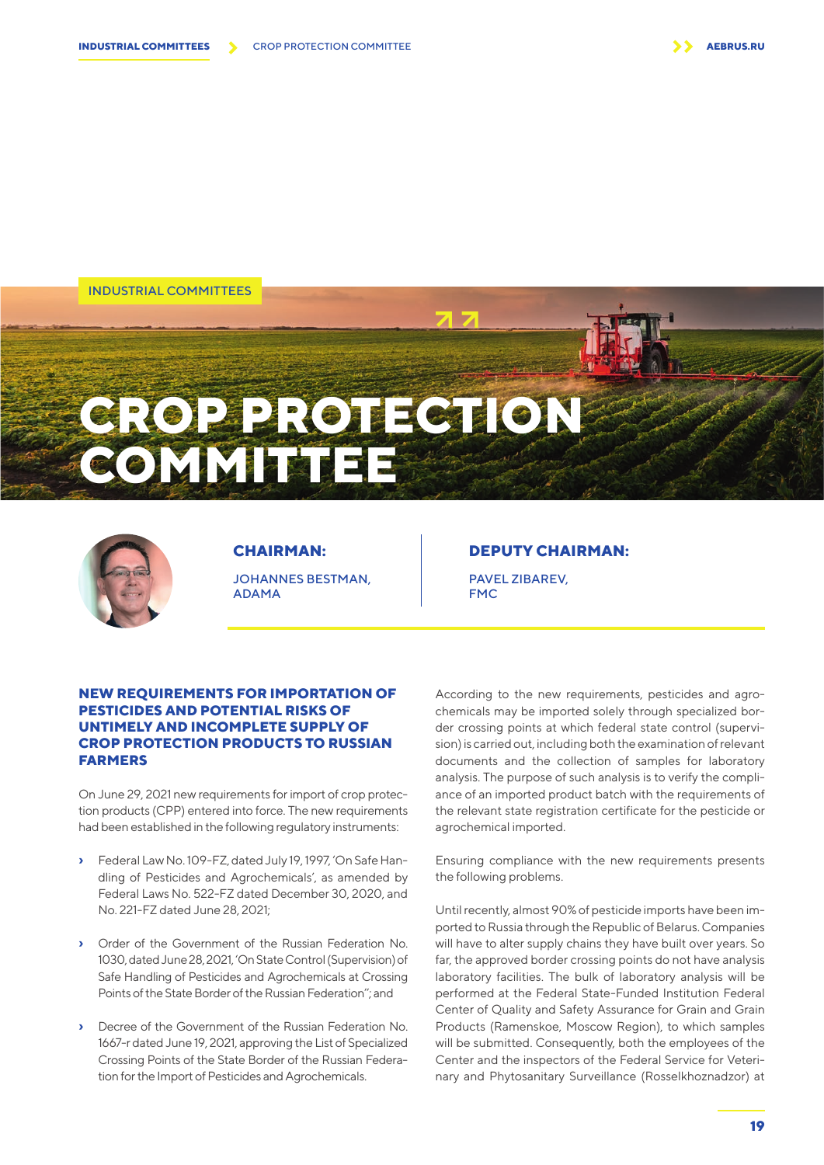INDUSTRIAL COMMITTEES

# **CROP PROTECTION COMMITTEE**



**CHAIRMAN:**  JOHANNES BESTMAN, ADAMA

### **DEPUTY CHAIRMAN:**

PAVEL ZIBAREV, **FMC** 

#### **NEW REQUIREMENTS FOR IMPORTATION OF PESTICIDES AND POTENTIAL RISKS OF UNTIMELY AND INCOMPLETE SUPPLY OF CROP PROTECTION PRODUCTS TO RUSSIAN FARMERS**

On June 29, 2021 new requirements for import of crop protection products (CPP) entered into force. The new requirements had been established in the following regulatory instruments:

- **›** Federal Law No. 109-FZ, dated July 19, 1997, 'On Safe Handling of Pesticides and Agrochemicals', as amended by Federal Laws No. 522-FZ dated December 30, 2020, and No. 221-FZ dated June 28, 2021;
- **›** Order of the Government of the Russian Federation No. 1030, dated June 28, 2021, 'On State Control (Supervision) of Safe Handling of Pesticides and Agrochemicals at Crossing Points of the State Border of the Russian Federation''; and
- **›** Decree of the Government of the Russian Federation No. 1667-r dated June 19, 2021, approving the List of Specialized Crossing Points of the State Border of the Russian Federation for the Import of Pesticides and Agrochemicals.

According to the new requirements, pesticides and agrochemicals may be imported solely through specialized border crossing points at which federal state control (supervision) is carried out, including both the examination of relevant documents and the collection of samples for laboratory analysis. The purpose of such analysis is to verify the compliance of an imported product batch with the requirements of the relevant state registration certificate for the pesticide or agrochemical imported.

Ensuring compliance with the new requirements presents the following problems.

Until recently, almost 90% of pesticide imports have been imported to Russia through the Republic of Belarus. Companies will have to alter supply chains they have built over years. So far, the approved border crossing points do not have analysis laboratory facilities. The bulk of laboratory analysis will be performed at the Federal State-Funded Institution Federal Center of Quality and Safety Assurance for Grain and Grain Products (Ramenskoe, Moscow Region), to which samples will be submitted. Consequently, both the employees of the Center and the inspectors of the Federal Service for Veterinary and Phytosanitary Surveillance (Rosselkhoznadzor) at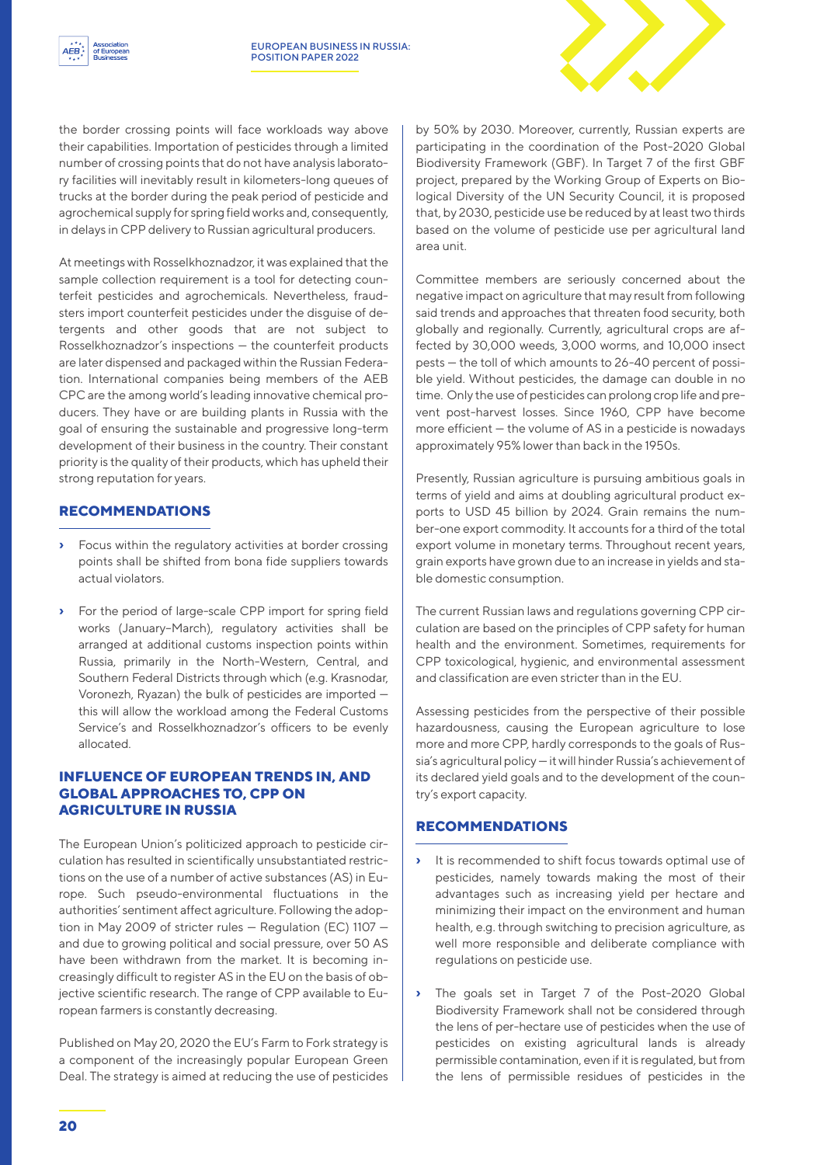

the border crossing points will face workloads way above their capabilities. Importation of pesticides through a limited number of crossing points that do not have analysis laboratory facilities will inevitably result in kilometers-long queues of trucks at the border during the peak period of pesticide and agrochemical supply for spring field works and, consequently, in delays in CPP delivery to Russian agricultural producers.

At meetings with Rosselkhoznadzor, it was explained that the sample collection requirement is a tool for detecting counterfeit pesticides and agrochemicals. Nevertheless, fraudsters import counterfeit pesticides under the disguise of detergents and other goods that are not subject to Rosselkhoznadzor's inspections — the counterfeit products are later dispensed and packaged within the Russian Federation. International companies being members of the AEB CPC are the among world's leading innovative chemical producers. They have or are building plants in Russia with the goal of ensuring the sustainable and progressive long-term development of their business in the country. Their constant priority is the quality of their products, which has upheld their strong reputation for years.

## **RECOMMENDATIONS**

- **›** Focus within the regulatory activities at border crossing points shall be shifted from bona fide suppliers towards actual violators.
- **›** For the period of large-scale CPP import for spring field works (January–March), regulatory activities shall be arranged at additional customs inspection points within Russia, primarily in the North-Western, Central, and Southern Federal Districts through which (e.g. Krasnodar, Voronezh, Ryazan) the bulk of pesticides are imported this will allow the workload among the Federal Customs Service's and Rosselkhoznadzor's officers to be evenly allocated.

#### **INFLUENCE OF EUROPEAN TRENDS IN, AND GLOBAL APPROACHES TO, CPP ON AGRICULTURE IN RUSSIA**

The European Union's politicized approach to pesticide circulation has resulted in scientifically unsubstantiated restrictions on the use of a number of active substances (AS) in Europe. Such pseudo-environmental fluctuations in the authorities' sentiment affect agriculture. Following the adoption in May 2009 of stricter rules — Regulation (EC) 1107 and due to growing political and social pressure, over 50 AS have been withdrawn from the market. It is becoming increasingly difficult to register AS in the EU on the basis of objective scientific research. The range of CPP available to European farmers is constantly decreasing.

Published on May 20, 2020 the EU's Farm to Fork strategy is a component of the increasingly popular European Green Deal. The strategy is aimed at reducing the use of pesticides by 50% by 2030. Moreover, currently, Russian experts are participating in the coordination of the Post-2020 Global Biodiversity Framework (GBF). In Target 7 of the first GBF project, prepared by the Working Group of Experts on Biological Diversity of the UN Security Council, it is proposed that, by 2030, pesticide use be reduced by at least two thirds based on the volume of pesticide use per agricultural land area unit.

Committee members are seriously concerned about the negative impact on agriculture that may result from following said trends and approaches that threaten food security, both globally and regionally. Currently, agricultural crops are affected by 30,000 weeds, 3,000 worms, and 10,000 insect pests — the toll of which amounts to 26-40 percent of possible yield. Without pesticides, the damage can double in no time. Only the use of pesticides can prolong crop life and prevent post-harvest losses. Since 1960, CPP have become more efficient — the volume of AS in a pesticide is nowadays approximately 95% lower than back in the 1950s.

Presently, Russian agriculture is pursuing ambitious goals in terms of yield and aims at doubling agricultural product exports to USD 45 billion by 2024. Grain remains the number-one export commodity. It accounts for a third of the total export volume in monetary terms. Throughout recent years, grain exports have grown due to an increase in yields and stable domestic consumption.

The current Russian laws and regulations governing CPP circulation are based on the principles of CPP safety for human health and the environment. Sometimes, requirements for CPP toxicological, hygienic, and environmental assessment and classification are even stricter than in the EU.

Assessing pesticides from the perspective of their possible hazardousness, causing the European agriculture to lose more and more CPP, hardly corresponds to the goals of Russia's agricultural policy — it will hinder Russia's achievement of its declared yield goals and to the development of the country's export capacity.

## **RECOMMENDATIONS**

- **›** It is recommended to shift focus towards optimal use of pesticides, namely towards making the most of their advantages such as increasing yield per hectare and minimizing their impact on the environment and human health, e.g. through switching to precision agriculture, as well more responsible and deliberate compliance with regulations on pesticide use.
- The goals set in Target 7 of the Post-2020 Global Biodiversity Framework shall not be considered through the lens of per-hectare use of pesticides when the use of pesticides on existing agricultural lands is already permissible contamination, even if it is regulated, but from the lens of permissible residues of pesticides in the